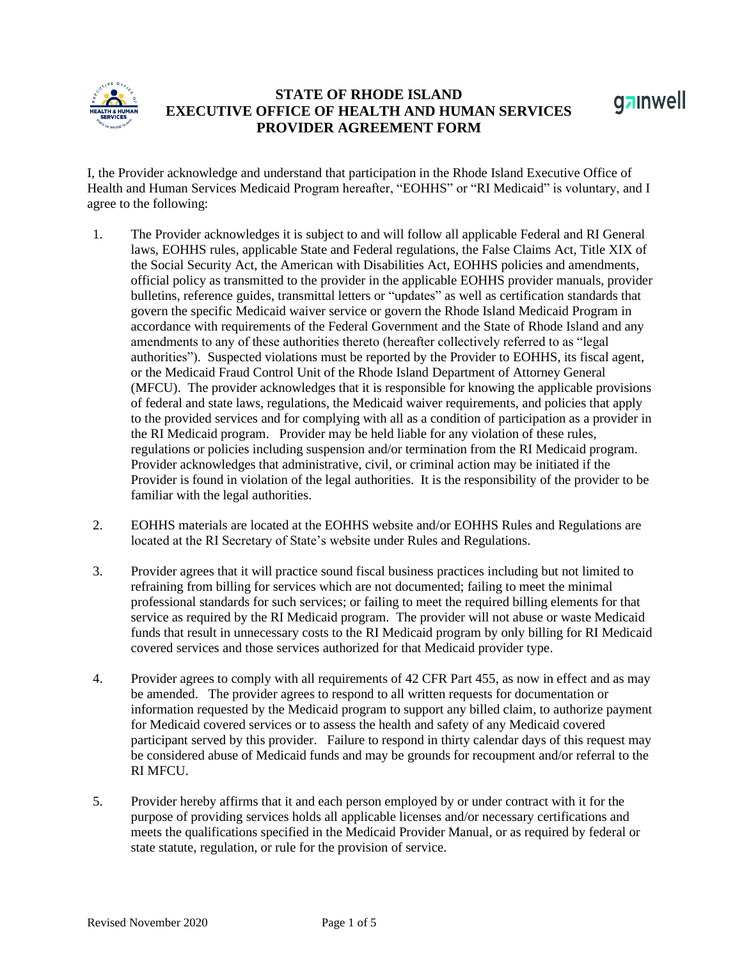

## **STATE OF RHODE ISLAND EXECUTIVE OFFICE OF HEALTH AND HUMAN SERVICES PROVIDER AGREEMENT FORM**



I, the Provider acknowledge and understand that participation in the Rhode Island Executive Office of Health and Human Services Medicaid Program hereafter, "EOHHS" or "RI Medicaid" is voluntary, and I agree to the following:

- 1. The Provider acknowledges it is subject to and will follow all applicable Federal and RI General laws, EOHHS rules, applicable State and Federal regulations, the False Claims Act, Title XIX of the Social Security Act, the American with Disabilities Act, EOHHS policies and amendments, official policy as transmitted to the provider in the applicable EOHHS provider manuals, provider bulletins, reference guides, transmittal letters or "updates" as well as certification standards that govern the specific Medicaid waiver service or govern the Rhode Island Medicaid Program in accordance with requirements of the Federal Government and the State of Rhode Island and any amendments to any of these authorities thereto (hereafter collectively referred to as "legal authorities"). Suspected violations must be reported by the Provider to EOHHS, its fiscal agent, or the Medicaid Fraud Control Unit of the Rhode Island Department of Attorney General (MFCU). The provider acknowledges that it is responsible for knowing the applicable provisions of federal and state laws, regulations, the Medicaid waiver requirements, and policies that apply to the provided services and for complying with all as a condition of participation as a provider in the RI Medicaid program. Provider may be held liable for any violation of these rules, regulations or policies including suspension and/or termination from the RI Medicaid program. Provider acknowledges that administrative, civil, or criminal action may be initiated if the Provider is found in violation of the legal authorities. It is the responsibility of the provider to be familiar with the legal authorities.
- 2. EOHHS materials are located at the EOHHS website and/or EOHHS Rules and Regulations are located at the RI Secretary of State's website under Rules and Regulations.
- 3. Provider agrees that it will practice sound fiscal business practices including but not limited to refraining from billing for services which are not documented; failing to meet the minimal professional standards for such services; or failing to meet the required billing elements for that service as required by the RI Medicaid program. The provider will not abuse or waste Medicaid funds that result in unnecessary costs to the RI Medicaid program by only billing for RI Medicaid covered services and those services authorized for that Medicaid provider type.
- 4. Provider agrees to comply with all requirements of 42 CFR Part 455, as now in effect and as may be amended. The provider agrees to respond to all written requests for documentation or information requested by the Medicaid program to support any billed claim, to authorize payment for Medicaid covered services or to assess the health and safety of any Medicaid covered participant served by this provider. Failure to respond in thirty calendar days of this request may be considered abuse of Medicaid funds and may be grounds for recoupment and/or referral to the RI MFCU.
- 5. Provider hereby affirms that it and each person employed by or under contract with it for the purpose of providing services holds all applicable licenses and/or necessary certifications and meets the qualifications specified in the Medicaid Provider Manual, or as required by federal or state statute, regulation, or rule for the provision of service.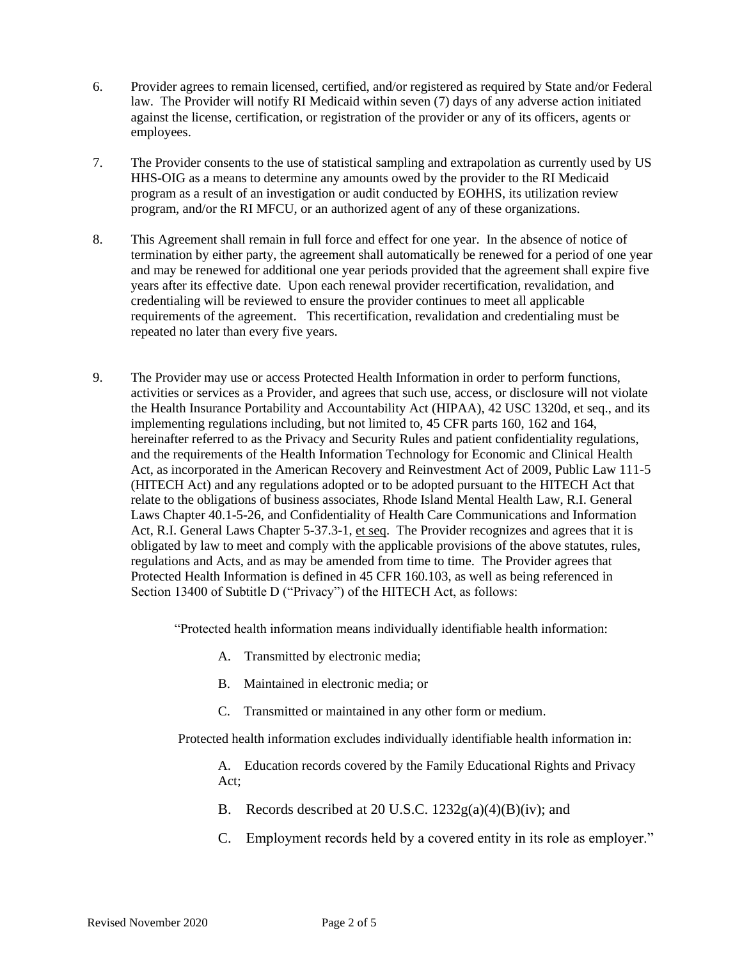- 6. Provider agrees to remain licensed, certified, and/or registered as required by State and/or Federal law. The Provider will notify RI Medicaid within seven (7) days of any adverse action initiated against the license, certification, or registration of the provider or any of its officers, agents or employees.
- 7. The Provider consents to the use of statistical sampling and extrapolation as currently used by US HHS-OIG as a means to determine any amounts owed by the provider to the RI Medicaid program as a result of an investigation or audit conducted by EOHHS, its utilization review program, and/or the RI MFCU, or an authorized agent of any of these organizations.
- 8. This Agreement shall remain in full force and effect for one year. In the absence of notice of termination by either party, the agreement shall automatically be renewed for a period of one year and may be renewed for additional one year periods provided that the agreement shall expire five years after its effective date. Upon each renewal provider recertification, revalidation, and credentialing will be reviewed to ensure the provider continues to meet all applicable requirements of the agreement. This recertification, revalidation and credentialing must be repeated no later than every five years.
- 9. The Provider may use or access Protected Health Information in order to perform functions, activities or services as a Provider, and agrees that such use, access, or disclosure will not violate the Health Insurance Portability and Accountability Act (HIPAA), 42 USC 1320d, et seq., and its implementing regulations including, but not limited to, 45 CFR parts 160, 162 and 164, hereinafter referred to as the Privacy and Security Rules and patient confidentiality regulations, and the requirements of the Health Information Technology for Economic and Clinical Health Act, as incorporated in the American Recovery and Reinvestment Act of 2009, Public Law 111-5 (HITECH Act) and any regulations adopted or to be adopted pursuant to the HITECH Act that relate to the obligations of business associates, Rhode Island Mental Health Law, R.I. General Laws Chapter 40.1-5-26, and Confidentiality of Health Care Communications and Information Act, R.I. General Laws Chapter 5-37.3-1, et seq. The Provider recognizes and agrees that it is obligated by law to meet and comply with the applicable provisions of the above statutes, rules, regulations and Acts, and as may be amended from time to time. The Provider agrees that Protected Health Information is defined in 45 CFR 160.103, as well as being referenced in Section 13400 of Subtitle D ("Privacy") of the HITECH Act, as follows:

"Protected health information means individually identifiable health information:

- A. Transmitted by electronic media;
- B. Maintained in electronic media; or
- C. Transmitted or maintained in any other form or medium.

Protected health information excludes individually identifiable health information in:

A. Education records covered by the Family Educational Rights and Privacy Act;

- B. Records described at 20 U.S.C.  $1232g(a)(4)(B)(iv)$ ; and
- C. Employment records held by a covered entity in its role as employer."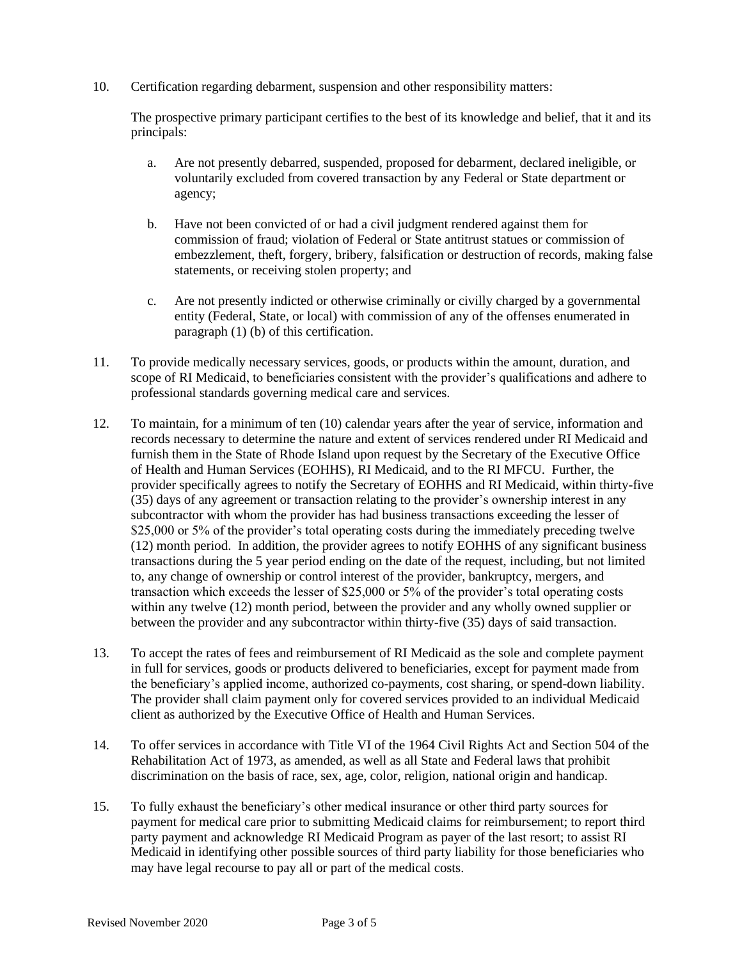10. Certification regarding debarment, suspension and other responsibility matters:

The prospective primary participant certifies to the best of its knowledge and belief, that it and its principals:

- a. Are not presently debarred, suspended, proposed for debarment, declared ineligible, or voluntarily excluded from covered transaction by any Federal or State department or agency;
- b. Have not been convicted of or had a civil judgment rendered against them for commission of fraud; violation of Federal or State antitrust statues or commission of embezzlement, theft, forgery, bribery, falsification or destruction of records, making false statements, or receiving stolen property; and
- c. Are not presently indicted or otherwise criminally or civilly charged by a governmental entity (Federal, State, or local) with commission of any of the offenses enumerated in paragraph (1) (b) of this certification.
- 11. To provide medically necessary services, goods, or products within the amount, duration, and scope of RI Medicaid, to beneficiaries consistent with the provider's qualifications and adhere to professional standards governing medical care and services.
- 12. To maintain, for a minimum of ten (10) calendar years after the year of service, information and records necessary to determine the nature and extent of services rendered under RI Medicaid and furnish them in the State of Rhode Island upon request by the Secretary of the Executive Office of Health and Human Services (EOHHS), RI Medicaid, and to the RI MFCU. Further, the provider specifically agrees to notify the Secretary of EOHHS and RI Medicaid, within thirty-five (35) days of any agreement or transaction relating to the provider's ownership interest in any subcontractor with whom the provider has had business transactions exceeding the lesser of \$25,000 or 5% of the provider's total operating costs during the immediately preceding twelve (12) month period. In addition, the provider agrees to notify EOHHS of any significant business transactions during the 5 year period ending on the date of the request, including, but not limited to, any change of ownership or control interest of the provider, bankruptcy, mergers, and transaction which exceeds the lesser of \$25,000 or 5% of the provider's total operating costs within any twelve (12) month period, between the provider and any wholly owned supplier or between the provider and any subcontractor within thirty-five (35) days of said transaction.
- 13. To accept the rates of fees and reimbursement of RI Medicaid as the sole and complete payment in full for services, goods or products delivered to beneficiaries, except for payment made from the beneficiary's applied income, authorized co-payments, cost sharing, or spend-down liability. The provider shall claim payment only for covered services provided to an individual Medicaid client as authorized by the Executive Office of Health and Human Services.
- 14. To offer services in accordance with Title VI of the 1964 Civil Rights Act and Section 504 of the Rehabilitation Act of 1973, as amended, as well as all State and Federal laws that prohibit discrimination on the basis of race, sex, age, color, religion, national origin and handicap.
- 15. To fully exhaust the beneficiary's other medical insurance or other third party sources for payment for medical care prior to submitting Medicaid claims for reimbursement; to report third party payment and acknowledge RI Medicaid Program as payer of the last resort; to assist RI Medicaid in identifying other possible sources of third party liability for those beneficiaries who may have legal recourse to pay all or part of the medical costs.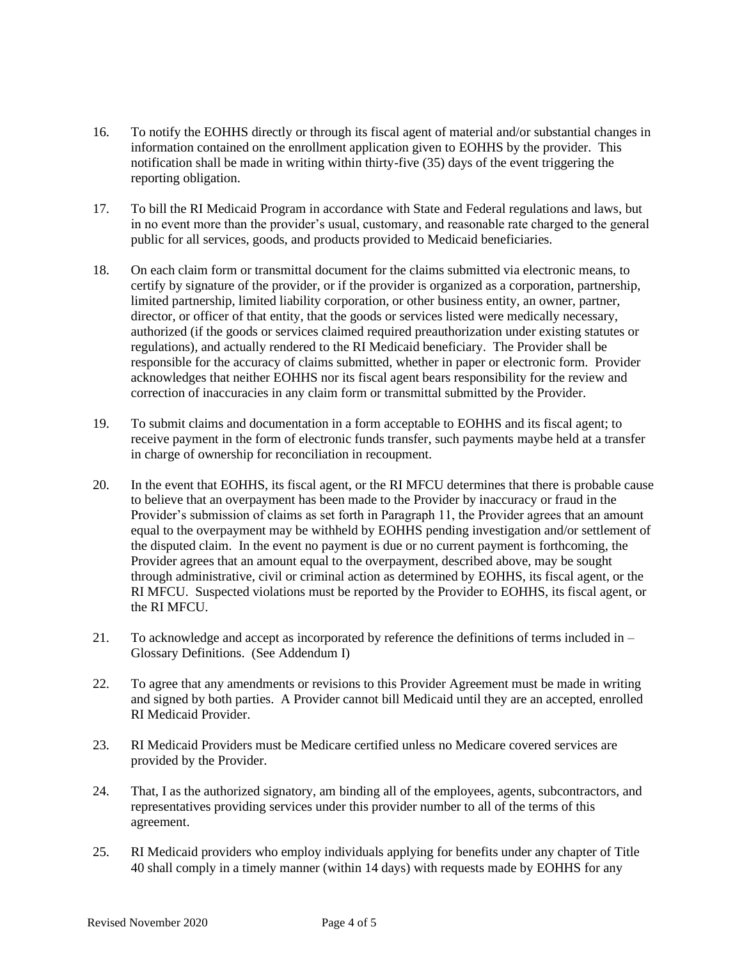- 16. To notify the EOHHS directly or through its fiscal agent of material and/or substantial changes in information contained on the enrollment application given to EOHHS by the provider. This notification shall be made in writing within thirty-five (35) days of the event triggering the reporting obligation.
- 17. To bill the RI Medicaid Program in accordance with State and Federal regulations and laws, but in no event more than the provider's usual, customary, and reasonable rate charged to the general public for all services, goods, and products provided to Medicaid beneficiaries.
- 18. On each claim form or transmittal document for the claims submitted via electronic means, to certify by signature of the provider, or if the provider is organized as a corporation, partnership, limited partnership, limited liability corporation, or other business entity, an owner, partner, director, or officer of that entity, that the goods or services listed were medically necessary, authorized (if the goods or services claimed required preauthorization under existing statutes or regulations), and actually rendered to the RI Medicaid beneficiary. The Provider shall be responsible for the accuracy of claims submitted, whether in paper or electronic form. Provider acknowledges that neither EOHHS nor its fiscal agent bears responsibility for the review and correction of inaccuracies in any claim form or transmittal submitted by the Provider.
- 19. To submit claims and documentation in a form acceptable to EOHHS and its fiscal agent; to receive payment in the form of electronic funds transfer, such payments maybe held at a transfer in charge of ownership for reconciliation in recoupment.
- 20. In the event that EOHHS, its fiscal agent, or the RI MFCU determines that there is probable cause to believe that an overpayment has been made to the Provider by inaccuracy or fraud in the Provider's submission of claims as set forth in Paragraph 11, the Provider agrees that an amount equal to the overpayment may be withheld by EOHHS pending investigation and/or settlement of the disputed claim. In the event no payment is due or no current payment is forthcoming, the Provider agrees that an amount equal to the overpayment, described above, may be sought through administrative, civil or criminal action as determined by EOHHS, its fiscal agent, or the RI MFCU. Suspected violations must be reported by the Provider to EOHHS, its fiscal agent, or the RI MFCU.
- 21. To acknowledge and accept as incorporated by reference the definitions of terms included in Glossary Definitions. (See Addendum I)
- 22. To agree that any amendments or revisions to this Provider Agreement must be made in writing and signed by both parties. A Provider cannot bill Medicaid until they are an accepted, enrolled RI Medicaid Provider.
- 23. RI Medicaid Providers must be Medicare certified unless no Medicare covered services are provided by the Provider.
- 24. That, I as the authorized signatory, am binding all of the employees, agents, subcontractors, and representatives providing services under this provider number to all of the terms of this agreement.
- 25. RI Medicaid providers who employ individuals applying for benefits under any chapter of Title 40 shall comply in a timely manner (within 14 days) with requests made by EOHHS for any